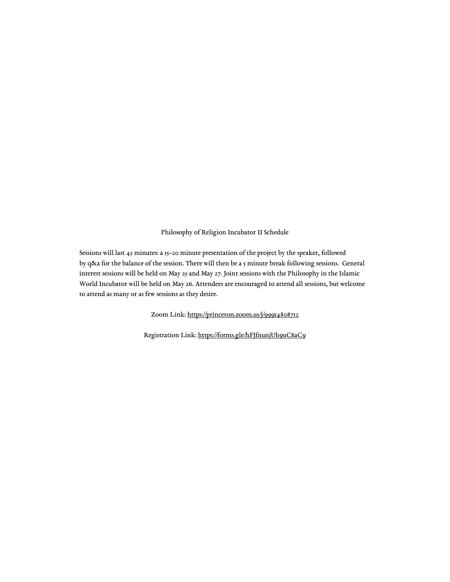#### Philosophy of Religion Incubator II Schedule

Sessions will last 45 minutes: a 15-20 minute presentation of the project by the speaker, followed by q&a for the balance of the session. There will then be a 5 minute break following sessions. General interest sessions will be held on May 25 and May 27. Joint sessions with the Philosophy in the Islamic World Incubator will be held on May 26. Attendees are encouraged to attend all sessions, but welcome to attend as many or as few sessions as they desire.

Zoom Link: <https://princeton.zoom.us/j/99914808712>

Registration Link: <https://forms.gle/hFJfnunjUh9uC8aC9>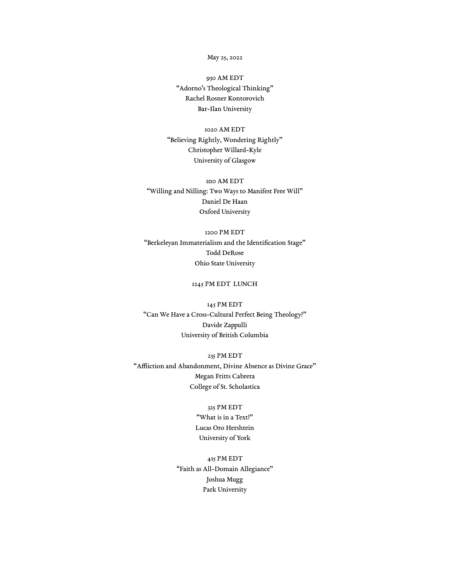#### May 25, 2022

930 AM EDT "Adorno's Theological Thinking" Rachel Rosner Kontorovich Bar-Ilan University

1020 AM EDT "Believing Rightly, Wondering Rightly" Christopher Willard-Kyle University of Glasgow

1110 AM EDT "Willing and Nilling: Two Ways to Manifest Free Will" Daniel De Haan Oxford University

1200 PM EDT "Berkeleyan Immaterialism and the Identification Stage" Todd DeRose Ohio State University

# 1245 PM EDT LUNCH

145 PM EDT "Can We Have a Cross-Cultural Perfect Being Theology?" Davide Zappulli University of British Columbia

235 PM EDT "Affliction and Abandonment, Divine Absence as Divine Grace" Megan Fritts Cabrera College of St. Scholastica

#### 325 PM EDT

"What is in a Text?" Lucas Oro Hershtein University of York

415 PM EDT "Faith as All-Domain Allegiance" Joshua Mugg Park University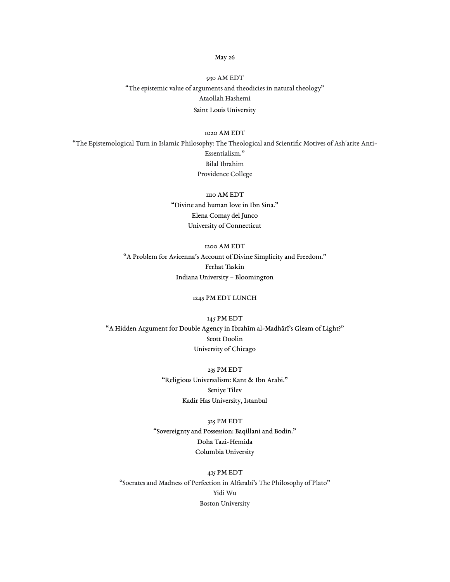### May 26

930 AM EDT "The epistemic value of arguments and theodicies in natural theology" Ataollah Hashemi Saint Louis University

# 1020 AM EDT

"The Epistemological Turn in Islamic Philosophy: The Theological and Scientific Motives of Ash'arite Anti-Essentialism." Bilal Ibrahim Providence College

> 1110 AM EDT "Divine and human love in Ibn Sina." Elena Comay del Junco University of Connecticut

1200 AM EDT "A Problem for Avicenna's Account of Divine Simplicity and Freedom." Ferhat Taskin Indiana University – Bloomington

## 1245 PM EDT LUNCH

145 PM EDT "A Hidden Argument for Double Agency in Ibrahīm al-Madhārī's Gleam of Light?" Scott Doolin University of Chicago

> 235 PM EDT "Religious Universalism: Kant & Ibn Arabi." Seniye Tilev Kadir Has University, Istanbul

#### 325 PM EDT

"Sovereignty and Possession: Baqillani and Bodin." Doha Tazi-Hemida Columbia University

## 415 PM EDT

"Socrates and Madness of Perfection in Alfarabi's The Philosophy of Plato" Yidi Wu Boston University